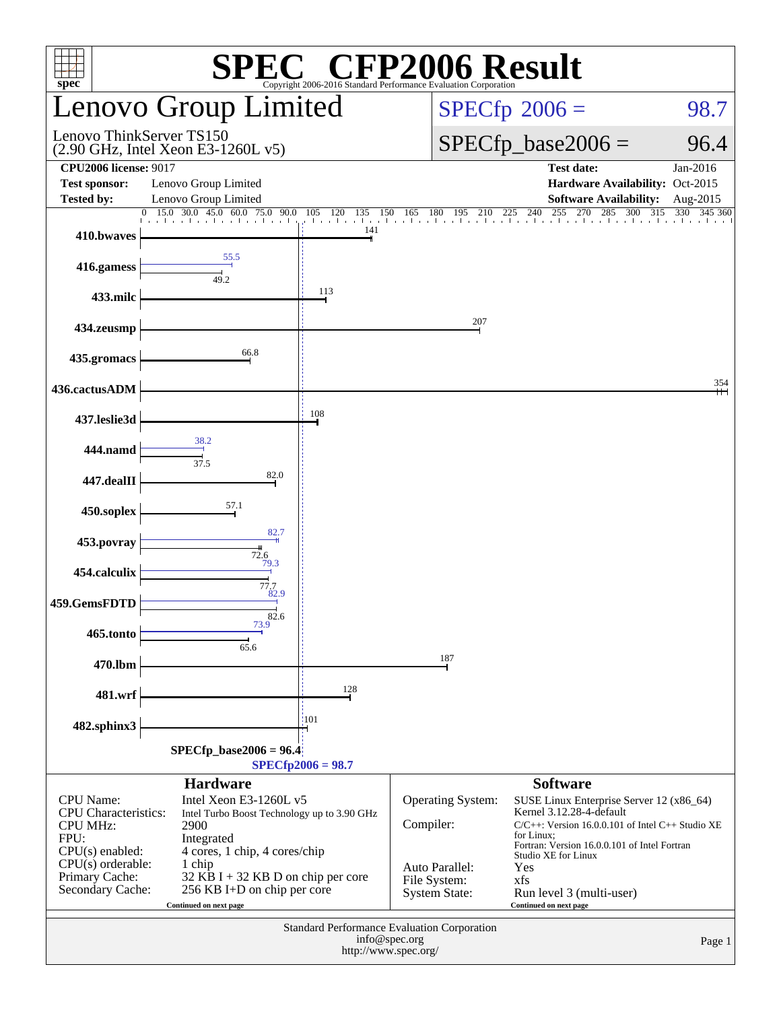| <b>EC<sup>®</sup> CFP2006 Result</b><br>spec <sup>®</sup><br>Copyright 2006-2016 Standard Performance Evaluation Corporation                                 |                                                                                                                                                                                                                                         |                                 |                                                                                          |                                                                                                                                                                                                                                                                                        |                      |  |  |  |
|--------------------------------------------------------------------------------------------------------------------------------------------------------------|-----------------------------------------------------------------------------------------------------------------------------------------------------------------------------------------------------------------------------------------|---------------------------------|------------------------------------------------------------------------------------------|----------------------------------------------------------------------------------------------------------------------------------------------------------------------------------------------------------------------------------------------------------------------------------------|----------------------|--|--|--|
|                                                                                                                                                              | <b>Lenovo Group Limited</b>                                                                                                                                                                                                             |                                 | $SPECfp^{\circ}2006 =$                                                                   | 98.7                                                                                                                                                                                                                                                                                   |                      |  |  |  |
| Lenovo ThinkServer TS150                                                                                                                                     | $(2.90 \text{ GHz}, \text{Intel Xeon E3-1260L v5})$                                                                                                                                                                                     |                                 |                                                                                          | $SPECfp\_base2006 =$                                                                                                                                                                                                                                                                   | 96.4                 |  |  |  |
| <b>CPU2006 license: 9017</b><br><b>Test sponsor:</b><br><b>Tested by:</b>                                                                                    | Lenovo Group Limited<br>Lenovo Group Limited                                                                                                                                                                                            |                                 |                                                                                          | <b>Test date:</b><br>Hardware Availability: Oct-2015<br><b>Software Availability:</b>                                                                                                                                                                                                  | Jan-2016<br>Aug-2015 |  |  |  |
| $\overline{0}$<br>410.bwaves                                                                                                                                 | 15.0 30.0 45.0 60.0<br>75.0<br>90.0                                                                                                                                                                                                     | 120<br>105<br>135<br>150<br>141 |                                                                                          | 150 165 180 195 210 225 240 255 270 285 300 315 3                                                                                                                                                                                                                                      | 330<br>345 360       |  |  |  |
| 416.gamess                                                                                                                                                   | 55.5<br>49.2                                                                                                                                                                                                                            |                                 |                                                                                          |                                                                                                                                                                                                                                                                                        |                      |  |  |  |
| 433.milc                                                                                                                                                     |                                                                                                                                                                                                                                         | 113                             |                                                                                          |                                                                                                                                                                                                                                                                                        |                      |  |  |  |
| 434.zeusmp                                                                                                                                                   | 66.8                                                                                                                                                                                                                                    |                                 | 207                                                                                      |                                                                                                                                                                                                                                                                                        |                      |  |  |  |
| 435.gromacs                                                                                                                                                  |                                                                                                                                                                                                                                         |                                 |                                                                                          |                                                                                                                                                                                                                                                                                        | 354                  |  |  |  |
| 436.cactusADM<br>437.leslie3d                                                                                                                                |                                                                                                                                                                                                                                         | 108                             |                                                                                          |                                                                                                                                                                                                                                                                                        |                      |  |  |  |
| 444.namd                                                                                                                                                     | 38.2                                                                                                                                                                                                                                    |                                 |                                                                                          |                                                                                                                                                                                                                                                                                        |                      |  |  |  |
| 447.dealII                                                                                                                                                   | 37.5<br>82.0                                                                                                                                                                                                                            |                                 |                                                                                          |                                                                                                                                                                                                                                                                                        |                      |  |  |  |
| 450.soplex                                                                                                                                                   | 57.1                                                                                                                                                                                                                                    |                                 |                                                                                          |                                                                                                                                                                                                                                                                                        |                      |  |  |  |
| 453.povray                                                                                                                                                   | 82.7<br>72.6                                                                                                                                                                                                                            |                                 |                                                                                          |                                                                                                                                                                                                                                                                                        |                      |  |  |  |
| 454.calculix                                                                                                                                                 | 79.3<br>77.7                                                                                                                                                                                                                            |                                 |                                                                                          |                                                                                                                                                                                                                                                                                        |                      |  |  |  |
| 459.GemsFDTD                                                                                                                                                 | 82.9<br>$\frac{1}{3}$ .82.6                                                                                                                                                                                                             |                                 |                                                                                          |                                                                                                                                                                                                                                                                                        |                      |  |  |  |
| 465.tonto                                                                                                                                                    | 65.6                                                                                                                                                                                                                                    |                                 |                                                                                          |                                                                                                                                                                                                                                                                                        |                      |  |  |  |
| 470.lbm                                                                                                                                                      |                                                                                                                                                                                                                                         | 128                             | 187                                                                                      |                                                                                                                                                                                                                                                                                        |                      |  |  |  |
| 481.wrf                                                                                                                                                      |                                                                                                                                                                                                                                         | 101                             |                                                                                          |                                                                                                                                                                                                                                                                                        |                      |  |  |  |
| 482.sphinx3<br>$SPECfp\_base2006 = 96.4$<br>$SPECfp2006 = 98.7$                                                                                              |                                                                                                                                                                                                                                         |                                 |                                                                                          |                                                                                                                                                                                                                                                                                        |                      |  |  |  |
|                                                                                                                                                              | <b>Hardware</b>                                                                                                                                                                                                                         |                                 |                                                                                          | <b>Software</b>                                                                                                                                                                                                                                                                        |                      |  |  |  |
| <b>CPU</b> Name:<br><b>CPU</b> Characteristics:<br><b>CPU MHz:</b><br>FPU:<br>$CPU(s)$ enabled:<br>$CPU(s)$ orderable:<br>Primary Cache:<br>Secondary Cache: | Intel Xeon E3-1260L v5<br>Intel Turbo Boost Technology up to 3.90 GHz<br>2900<br>Integrated<br>4 cores, 1 chip, 4 cores/chip<br>1 chip<br>$32$ KB I + 32 KB D on chip per core<br>256 KB I+D on chip per core<br>Continued on next page |                                 | Operating System:<br>Compiler:<br>Auto Parallel:<br>File System:<br><b>System State:</b> | SUSE Linux Enterprise Server 12 (x86_64)<br>Kernel 3.12.28-4-default<br>$C/C++$ : Version 16.0.0.101 of Intel $C++$ Studio XE<br>for Linux;<br>Fortran: Version 16.0.0.101 of Intel Fortran<br>Studio XE for Linux<br>Yes<br>xfs<br>Run level 3 (multi-user)<br>Continued on next page |                      |  |  |  |
| Standard Performance Evaluation Corporation<br>info@spec.org<br>Page 1<br>http://www.spec.org/                                                               |                                                                                                                                                                                                                                         |                                 |                                                                                          |                                                                                                                                                                                                                                                                                        |                      |  |  |  |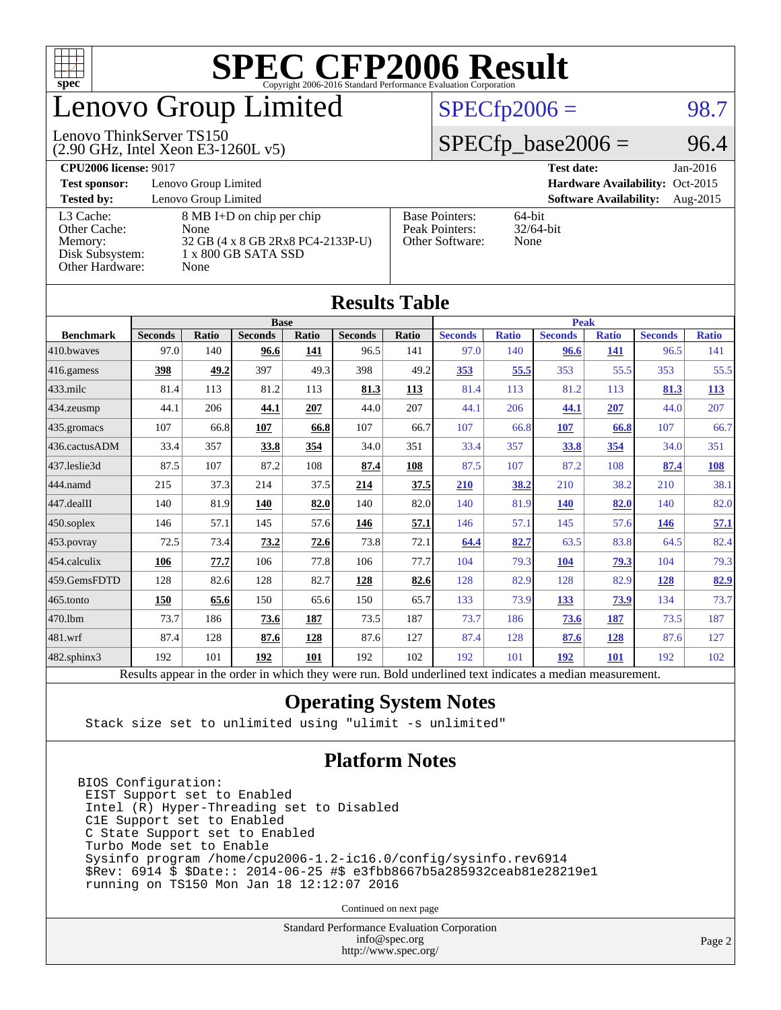

# enovo Group Limited

## $SPECTp2006 = 98.7$

### Lenovo ThinkServer TS150

(2.90 GHz, Intel Xeon E3-1260L v5)

 $SPECfp\_base2006 = 96.4$ 

### **[CPU2006 license:](http://www.spec.org/auto/cpu2006/Docs/result-fields.html#CPU2006license)** 9017 **[Test date:](http://www.spec.org/auto/cpu2006/Docs/result-fields.html#Testdate)** Jan-2016 **[Test sponsor:](http://www.spec.org/auto/cpu2006/Docs/result-fields.html#Testsponsor)** Lenovo Group Limited **[Hardware Availability:](http://www.spec.org/auto/cpu2006/Docs/result-fields.html#HardwareAvailability)** Oct-2015 **[Tested by:](http://www.spec.org/auto/cpu2006/Docs/result-fields.html#Testedby)** Lenovo Group Limited **[Software Availability:](http://www.spec.org/auto/cpu2006/Docs/result-fields.html#SoftwareAvailability)** Aug-2015 [L3 Cache:](http://www.spec.org/auto/cpu2006/Docs/result-fields.html#L3Cache) 8 MB I+D on chip per chip<br>Other Cache: None [Other Cache:](http://www.spec.org/auto/cpu2006/Docs/result-fields.html#OtherCache) [Memory:](http://www.spec.org/auto/cpu2006/Docs/result-fields.html#Memory) 32 GB (4 x 8 GB 2Rx8 PC4-2133P-U) [Disk Subsystem:](http://www.spec.org/auto/cpu2006/Docs/result-fields.html#DiskSubsystem) 1 x 800 GB SATA SSD [Other Hardware:](http://www.spec.org/auto/cpu2006/Docs/result-fields.html#OtherHardware) None [Base Pointers:](http://www.spec.org/auto/cpu2006/Docs/result-fields.html#BasePointers) 64-bit<br>Peak Pointers: 32/64-bit [Peak Pointers:](http://www.spec.org/auto/cpu2006/Docs/result-fields.html#PeakPointers) [Other Software:](http://www.spec.org/auto/cpu2006/Docs/result-fields.html#OtherSoftware) None

**[Results Table](http://www.spec.org/auto/cpu2006/Docs/result-fields.html#ResultsTable)**

| Results Table          |                                                                                                          |       |                |       |                |       |                |              |                |              |                |              |
|------------------------|----------------------------------------------------------------------------------------------------------|-------|----------------|-------|----------------|-------|----------------|--------------|----------------|--------------|----------------|--------------|
|                        |                                                                                                          |       | <b>Base</b>    |       |                |       | <b>Peak</b>    |              |                |              |                |              |
| <b>Benchmark</b>       | <b>Seconds</b>                                                                                           | Ratio | <b>Seconds</b> | Ratio | <b>Seconds</b> | Ratio | <b>Seconds</b> | <b>Ratio</b> | <b>Seconds</b> | <b>Ratio</b> | <b>Seconds</b> | <b>Ratio</b> |
| 410.bwayes             | 97.0                                                                                                     | 140   | 96.6           | 141   | 96.5           | 141   | 97.0           | 140          | 96.6           | 141          | 96.5           | 141          |
| 416.gamess             | 398                                                                                                      | 49.2  | 397            | 49.3  | 398            | 49.2  | 353            | 55.5         | 353            | 55.5         | 353            | 55.5         |
| $433$ .milc            | 81.4                                                                                                     | 113   | 81.2           | 113   | 81.3           | 113   | 81.4           | 113          | 81.2           | 113          | 81.3           | <b>113</b>   |
| $434$ . zeusmp         | 44.1                                                                                                     | 206   | 44.1           | 207   | 44.0           | 207   | 44.1           | 206          | 44.1           | 207          | 44.0           | 207          |
| 435.gromacs            | 107                                                                                                      | 66.8  | 107            | 66.8  | 107            | 66.7  | 107            | 66.8         | 107            | 66.8         | 107            | 66.7         |
| 436.cactusADM          | 33.4                                                                                                     | 357   | 33.8           | 354   | 34.0           | 351   | 33.4           | 357          | 33.8           | 354          | 34.0           | 351          |
| 437.leslie3d           | 87.5                                                                                                     | 107   | 87.2           | 108   | 87.4           | 108   | 87.5           | 107          | 87.2           | 108          | 87.4           | 108          |
| 444.namd               | 215                                                                                                      | 37.3  | 214            | 37.5  | 214            | 37.5  | 210            | 38.2         | 210            | 38.2         | 210            | 38.1         |
| $ 447 \text{.}$ dealII | 140                                                                                                      | 81.9  | 140            | 82.0  | 140            | 82.0  | 140            | 81.9         | <b>140</b>     | 82.0         | 140            | 82.0         |
| 450.soplex             | 146                                                                                                      | 57.1  | 145            | 57.6  | 146            | 57.1  | 146            | 57.1         | 145            | 57.6         | 146            | 57.1         |
| 453.povray             | 72.5                                                                                                     | 73.4  | 73.2           | 72.6  | 73.8           | 72.1  | 64.4           | 82.7         | 63.5           | 83.8         | 64.5           | 82.4         |
| $ 454$ .calculix       | 106                                                                                                      | 77.7  | 106            | 77.8  | 106            | 77.7  | 104            | 79.3         | 104            | 79.3         | 104            | 79.3         |
| 459.GemsFDTD           | 128                                                                                                      | 82.6  | 128            | 82.7  | 128            | 82.6  | 128            | 82.9         | 128            | 82.9         | 128            | 82.9         |
| $465$ .tonto           | 150                                                                                                      | 65.6  | 150            | 65.6  | 150            | 65.7  | 133            | 73.9         | <u>133</u>     | <u>73.9</u>  | 134            | 73.7         |
| 470.1bm                | 73.7                                                                                                     | 186   | 73.6           | 187   | 73.5           | 187   | 73.7           | 186          | 73.6           | 187          | 73.5           | 187          |
| $ 481$ .wrf            | 87.4                                                                                                     | 128   | 87.6           | 128   | 87.6           | 127   | 87.4           | 128          | 87.6           | 128          | 87.6           | 127          |
| 482.sphinx3            | 192                                                                                                      | 101   | 192            | 101   | 192            | 102   | 192            | 101          | 192            | 101          | 192            | 102          |
|                        | Results appear in the order in which they were run. Bold underlined text indicates a median measurement. |       |                |       |                |       |                |              |                |              |                |              |

### **[Operating System Notes](http://www.spec.org/auto/cpu2006/Docs/result-fields.html#OperatingSystemNotes)**

Stack size set to unlimited using "ulimit -s unlimited"

### **[Platform Notes](http://www.spec.org/auto/cpu2006/Docs/result-fields.html#PlatformNotes)**

BIOS Configuration: EIST Support set to Enabled Intel (R) Hyper-Threading set to Disabled C1E Support set to Enabled C State Support set to Enabled Turbo Mode set to Enable Sysinfo program /home/cpu2006-1.2-ic16.0/config/sysinfo.rev6914 \$Rev: 6914 \$ \$Date:: 2014-06-25 #\$ e3fbb8667b5a285932ceab81e28219e1 running on TS150 Mon Jan 18 12:12:07 2016

Continued on next page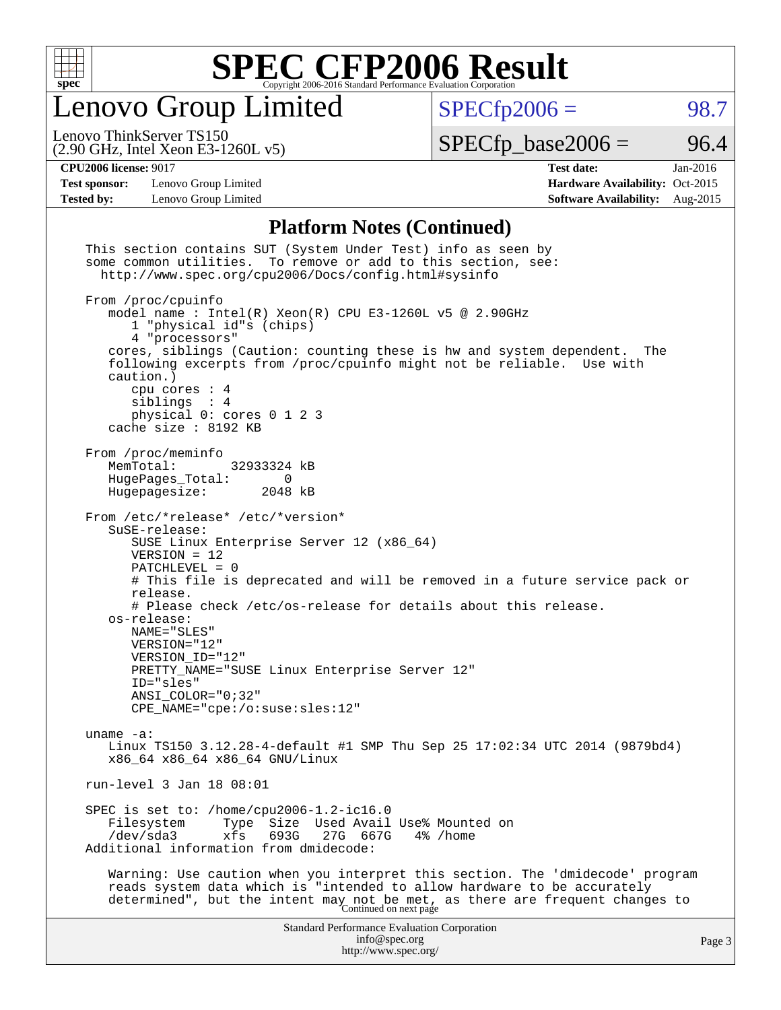

Lenovo Group Limited

 $SPECfp2006 = 98.7$  $SPECfp2006 = 98.7$ 

(2.90 GHz, Intel Xeon E3-1260L v5) Lenovo ThinkServer TS150

 $SPECTp\_base2006 = 96.4$ 

**[Test sponsor:](http://www.spec.org/auto/cpu2006/Docs/result-fields.html#Testsponsor)** Lenovo Group Limited **[Hardware Availability:](http://www.spec.org/auto/cpu2006/Docs/result-fields.html#HardwareAvailability)** Oct-2015

**[CPU2006 license:](http://www.spec.org/auto/cpu2006/Docs/result-fields.html#CPU2006license)** 9017 **[Test date:](http://www.spec.org/auto/cpu2006/Docs/result-fields.html#Testdate)** Jan-2016 **[Tested by:](http://www.spec.org/auto/cpu2006/Docs/result-fields.html#Testedby)** Lenovo Group Limited **[Software Availability:](http://www.spec.org/auto/cpu2006/Docs/result-fields.html#SoftwareAvailability)** Aug-2015

### **[Platform Notes \(Continued\)](http://www.spec.org/auto/cpu2006/Docs/result-fields.html#PlatformNotes)**

| This section contains SUT (System Under Test) info as seen by<br>some common utilities. To remove or add to this section, see:<br>http://www.spec.org/cpu2006/Docs/config.html#sysinfo                                                                                                                                                                                                                                                                                                          |        |
|-------------------------------------------------------------------------------------------------------------------------------------------------------------------------------------------------------------------------------------------------------------------------------------------------------------------------------------------------------------------------------------------------------------------------------------------------------------------------------------------------|--------|
| From /proc/cpuinfo<br>model name : Intel(R) Xeon(R) CPU E3-1260L v5 @ 2.90GHz<br>1 "physical id"s (chips)<br>4 "processors"<br>cores, siblings (Caution: counting these is hw and system dependent.<br>The<br>following excerpts from /proc/cpuinfo might not be reliable. Use with<br>caution.)<br>cpu cores $: 4$<br>siblings : 4<br>physical 0: cores 0 1 2 3<br>cache size : 8192 KB                                                                                                        |        |
| From /proc/meminfo<br>MemTotal:<br>32933324 kB<br>HugePages_Total:<br>$\Omega$<br>Hugepagesize:<br>2048 kB                                                                                                                                                                                                                                                                                                                                                                                      |        |
| From /etc/*release* /etc/*version*<br>SuSE-release:<br>SUSE Linux Enterprise Server 12 (x86_64)<br>$VERSION = 12$<br>PATCHLEVEL = 0<br># This file is deprecated and will be removed in a future service pack or<br>release.<br># Please check /etc/os-release for details about this release.<br>os-release:<br>NAME="SLES"<br>VERSION="12"<br>VERSION ID="12"<br>PRETTY_NAME="SUSE Linux Enterprise Server 12"<br>ID="sles"<br>$ANSI$ _COLOR=" $0:32"$<br>$CPE\_NAME='cpe://o:suse: sles:12"$ |        |
| uname $-a$ :<br>Linux TS150 3.12.28-4-default #1 SMP Thu Sep 25 17:02:34 UTC 2014 (9879bd4)<br>x86 64 x86 64 x86 64 GNU/Linux                                                                                                                                                                                                                                                                                                                                                                   |        |
| run-level 3 Jan 18 08:01                                                                                                                                                                                                                                                                                                                                                                                                                                                                        |        |
| SPEC is set to: /home/cpu2006-1.2-ic16.0<br>Size Used Avail Use% Mounted on<br>Filesystem<br>Type<br>693G<br>$/\text{dev/sda}$ 3<br>xfs<br>27G<br>667G<br>$4\%$ /home<br>Additional information from dmidecode:                                                                                                                                                                                                                                                                                 |        |
| Warning: Use caution when you interpret this section. The 'dmidecode' program<br>reads system data which is "intended to allow hardware to be accurately<br>determined", but the intent may not be met, as there are frequent changes to<br>Continued on next page                                                                                                                                                                                                                              |        |
| <b>Standard Performance Evaluation Corporation</b><br>info@spec.org<br>http://www.spec.org/                                                                                                                                                                                                                                                                                                                                                                                                     | Page 3 |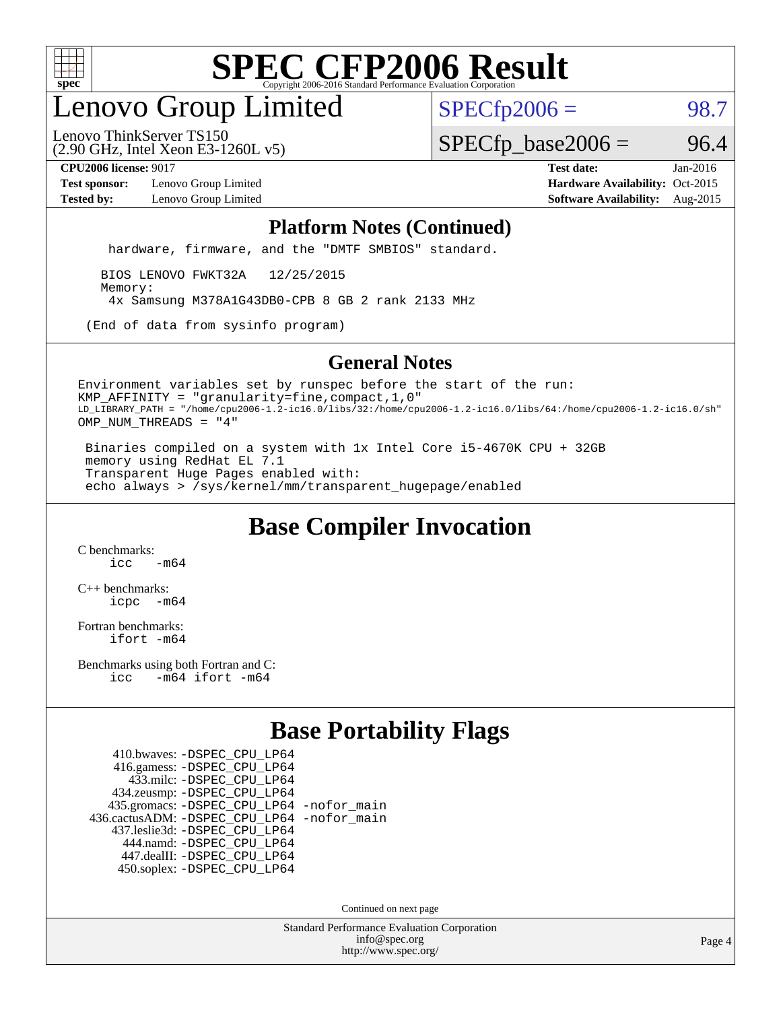

# enovo Group Limited

 $SPECfp2006 = 98.7$  $SPECfp2006 = 98.7$ 

(2.90 GHz, Intel Xeon E3-1260L v5) Lenovo ThinkServer TS150

 $SPECTp\_base2006 = 96.4$ 

**[Test sponsor:](http://www.spec.org/auto/cpu2006/Docs/result-fields.html#Testsponsor)** Lenovo Group Limited **[Hardware Availability:](http://www.spec.org/auto/cpu2006/Docs/result-fields.html#HardwareAvailability)** Oct-2015

**[CPU2006 license:](http://www.spec.org/auto/cpu2006/Docs/result-fields.html#CPU2006license)** 9017 **[Test date:](http://www.spec.org/auto/cpu2006/Docs/result-fields.html#Testdate)** Jan-2016 **[Tested by:](http://www.spec.org/auto/cpu2006/Docs/result-fields.html#Testedby)** Lenovo Group Limited **[Software Availability:](http://www.spec.org/auto/cpu2006/Docs/result-fields.html#SoftwareAvailability)** Aug-2015

### **[Platform Notes \(Continued\)](http://www.spec.org/auto/cpu2006/Docs/result-fields.html#PlatformNotes)**

hardware, firmware, and the "DMTF SMBIOS" standard.

 BIOS LENOVO FWKT32A 12/25/2015 Memory: 4x Samsung M378A1G43DB0-CPB 8 GB 2 rank 2133 MHz

(End of data from sysinfo program)

### **[General Notes](http://www.spec.org/auto/cpu2006/Docs/result-fields.html#GeneralNotes)**

Environment variables set by runspec before the start of the run: KMP\_AFFINITY = "granularity=fine,compact,1,0" LD\_LIBRARY\_PATH = "/home/cpu2006-1.2-ic16.0/libs/32:/home/cpu2006-1.2-ic16.0/libs/64:/home/cpu2006-1.2-ic16.0/sh" OMP\_NUM\_THREADS = "4"

 Binaries compiled on a system with 1x Intel Core i5-4670K CPU + 32GB memory using RedHat EL 7.1 Transparent Huge Pages enabled with: echo always > /sys/kernel/mm/transparent\_hugepage/enabled

# **[Base Compiler Invocation](http://www.spec.org/auto/cpu2006/Docs/result-fields.html#BaseCompilerInvocation)**

[C benchmarks](http://www.spec.org/auto/cpu2006/Docs/result-fields.html#Cbenchmarks):  $icc$   $-m64$ 

[C++ benchmarks:](http://www.spec.org/auto/cpu2006/Docs/result-fields.html#CXXbenchmarks) [icpc -m64](http://www.spec.org/cpu2006/results/res2016q1/cpu2006-20160125-38874.flags.html#user_CXXbase_intel_icpc_64bit_bedb90c1146cab66620883ef4f41a67e)

[Fortran benchmarks](http://www.spec.org/auto/cpu2006/Docs/result-fields.html#Fortranbenchmarks): [ifort -m64](http://www.spec.org/cpu2006/results/res2016q1/cpu2006-20160125-38874.flags.html#user_FCbase_intel_ifort_64bit_ee9d0fb25645d0210d97eb0527dcc06e)

[Benchmarks using both Fortran and C](http://www.spec.org/auto/cpu2006/Docs/result-fields.html#BenchmarksusingbothFortranandC): [icc -m64](http://www.spec.org/cpu2006/results/res2016q1/cpu2006-20160125-38874.flags.html#user_CC_FCbase_intel_icc_64bit_0b7121f5ab7cfabee23d88897260401c) [ifort -m64](http://www.spec.org/cpu2006/results/res2016q1/cpu2006-20160125-38874.flags.html#user_CC_FCbase_intel_ifort_64bit_ee9d0fb25645d0210d97eb0527dcc06e)

## **[Base Portability Flags](http://www.spec.org/auto/cpu2006/Docs/result-fields.html#BasePortabilityFlags)**

 410.bwaves: [-DSPEC\\_CPU\\_LP64](http://www.spec.org/cpu2006/results/res2016q1/cpu2006-20160125-38874.flags.html#suite_basePORTABILITY410_bwaves_DSPEC_CPU_LP64) 416.gamess: [-DSPEC\\_CPU\\_LP64](http://www.spec.org/cpu2006/results/res2016q1/cpu2006-20160125-38874.flags.html#suite_basePORTABILITY416_gamess_DSPEC_CPU_LP64) 433.milc: [-DSPEC\\_CPU\\_LP64](http://www.spec.org/cpu2006/results/res2016q1/cpu2006-20160125-38874.flags.html#suite_basePORTABILITY433_milc_DSPEC_CPU_LP64) 434.zeusmp: [-DSPEC\\_CPU\\_LP64](http://www.spec.org/cpu2006/results/res2016q1/cpu2006-20160125-38874.flags.html#suite_basePORTABILITY434_zeusmp_DSPEC_CPU_LP64) 435.gromacs: [-DSPEC\\_CPU\\_LP64](http://www.spec.org/cpu2006/results/res2016q1/cpu2006-20160125-38874.flags.html#suite_basePORTABILITY435_gromacs_DSPEC_CPU_LP64) [-nofor\\_main](http://www.spec.org/cpu2006/results/res2016q1/cpu2006-20160125-38874.flags.html#user_baseLDPORTABILITY435_gromacs_f-nofor_main) 436.cactusADM: [-DSPEC\\_CPU\\_LP64](http://www.spec.org/cpu2006/results/res2016q1/cpu2006-20160125-38874.flags.html#suite_basePORTABILITY436_cactusADM_DSPEC_CPU_LP64) [-nofor\\_main](http://www.spec.org/cpu2006/results/res2016q1/cpu2006-20160125-38874.flags.html#user_baseLDPORTABILITY436_cactusADM_f-nofor_main) 437.leslie3d: [-DSPEC\\_CPU\\_LP64](http://www.spec.org/cpu2006/results/res2016q1/cpu2006-20160125-38874.flags.html#suite_basePORTABILITY437_leslie3d_DSPEC_CPU_LP64) 444.namd: [-DSPEC\\_CPU\\_LP64](http://www.spec.org/cpu2006/results/res2016q1/cpu2006-20160125-38874.flags.html#suite_basePORTABILITY444_namd_DSPEC_CPU_LP64) 447.dealII: [-DSPEC\\_CPU\\_LP64](http://www.spec.org/cpu2006/results/res2016q1/cpu2006-20160125-38874.flags.html#suite_basePORTABILITY447_dealII_DSPEC_CPU_LP64) 450.soplex: [-DSPEC\\_CPU\\_LP64](http://www.spec.org/cpu2006/results/res2016q1/cpu2006-20160125-38874.flags.html#suite_basePORTABILITY450_soplex_DSPEC_CPU_LP64)

Continued on next page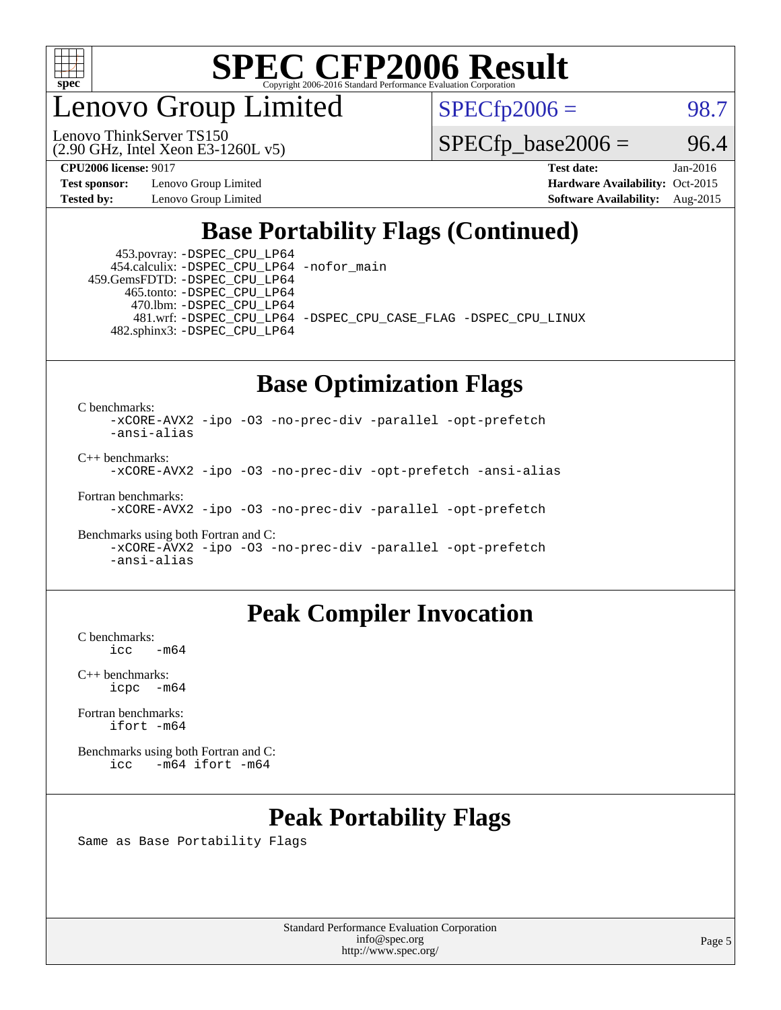

enovo Group Limited

Lenovo ThinkServer TS150

 $SPECfp2006 = 98.7$  $SPECfp2006 = 98.7$ 

 $SPECTp\_base2006 = 96.4$ 

**[Test sponsor:](http://www.spec.org/auto/cpu2006/Docs/result-fields.html#Testsponsor)** Lenovo Group Limited **[Hardware Availability:](http://www.spec.org/auto/cpu2006/Docs/result-fields.html#HardwareAvailability)** Oct-2015

(2.90 GHz, Intel Xeon E3-1260L v5)

**[CPU2006 license:](http://www.spec.org/auto/cpu2006/Docs/result-fields.html#CPU2006license)** 9017 **[Test date:](http://www.spec.org/auto/cpu2006/Docs/result-fields.html#Testdate)** Jan-2016 **[Tested by:](http://www.spec.org/auto/cpu2006/Docs/result-fields.html#Testedby)** Lenovo Group Limited **[Software Availability:](http://www.spec.org/auto/cpu2006/Docs/result-fields.html#SoftwareAvailability)** Aug-2015

# **[Base Portability Flags \(Continued\)](http://www.spec.org/auto/cpu2006/Docs/result-fields.html#BasePortabilityFlags)**

 453.povray: [-DSPEC\\_CPU\\_LP64](http://www.spec.org/cpu2006/results/res2016q1/cpu2006-20160125-38874.flags.html#suite_basePORTABILITY453_povray_DSPEC_CPU_LP64) 454.calculix: [-DSPEC\\_CPU\\_LP64](http://www.spec.org/cpu2006/results/res2016q1/cpu2006-20160125-38874.flags.html#suite_basePORTABILITY454_calculix_DSPEC_CPU_LP64) [-nofor\\_main](http://www.spec.org/cpu2006/results/res2016q1/cpu2006-20160125-38874.flags.html#user_baseLDPORTABILITY454_calculix_f-nofor_main) 459.GemsFDTD: [-DSPEC\\_CPU\\_LP64](http://www.spec.org/cpu2006/results/res2016q1/cpu2006-20160125-38874.flags.html#suite_basePORTABILITY459_GemsFDTD_DSPEC_CPU_LP64)

 465.tonto: [-DSPEC\\_CPU\\_LP64](http://www.spec.org/cpu2006/results/res2016q1/cpu2006-20160125-38874.flags.html#suite_basePORTABILITY465_tonto_DSPEC_CPU_LP64) 470.lbm: [-DSPEC\\_CPU\\_LP64](http://www.spec.org/cpu2006/results/res2016q1/cpu2006-20160125-38874.flags.html#suite_basePORTABILITY470_lbm_DSPEC_CPU_LP64) 482.sphinx3: [-DSPEC\\_CPU\\_LP64](http://www.spec.org/cpu2006/results/res2016q1/cpu2006-20160125-38874.flags.html#suite_basePORTABILITY482_sphinx3_DSPEC_CPU_LP64)

481.wrf: [-DSPEC\\_CPU\\_LP64](http://www.spec.org/cpu2006/results/res2016q1/cpu2006-20160125-38874.flags.html#suite_basePORTABILITY481_wrf_DSPEC_CPU_LP64) [-DSPEC\\_CPU\\_CASE\\_FLAG](http://www.spec.org/cpu2006/results/res2016q1/cpu2006-20160125-38874.flags.html#b481.wrf_baseCPORTABILITY_DSPEC_CPU_CASE_FLAG) [-DSPEC\\_CPU\\_LINUX](http://www.spec.org/cpu2006/results/res2016q1/cpu2006-20160125-38874.flags.html#b481.wrf_baseCPORTABILITY_DSPEC_CPU_LINUX)

## **[Base Optimization Flags](http://www.spec.org/auto/cpu2006/Docs/result-fields.html#BaseOptimizationFlags)**

[C benchmarks](http://www.spec.org/auto/cpu2006/Docs/result-fields.html#Cbenchmarks):

[-xCORE-AVX2](http://www.spec.org/cpu2006/results/res2016q1/cpu2006-20160125-38874.flags.html#user_CCbase_f-xAVX2_5f5fc0cbe2c9f62c816d3e45806c70d7) [-ipo](http://www.spec.org/cpu2006/results/res2016q1/cpu2006-20160125-38874.flags.html#user_CCbase_f-ipo) [-O3](http://www.spec.org/cpu2006/results/res2016q1/cpu2006-20160125-38874.flags.html#user_CCbase_f-O3) [-no-prec-div](http://www.spec.org/cpu2006/results/res2016q1/cpu2006-20160125-38874.flags.html#user_CCbase_f-no-prec-div) [-parallel](http://www.spec.org/cpu2006/results/res2016q1/cpu2006-20160125-38874.flags.html#user_CCbase_f-parallel) [-opt-prefetch](http://www.spec.org/cpu2006/results/res2016q1/cpu2006-20160125-38874.flags.html#user_CCbase_f-opt-prefetch) [-ansi-alias](http://www.spec.org/cpu2006/results/res2016q1/cpu2006-20160125-38874.flags.html#user_CCbase_f-ansi-alias)

[C++ benchmarks:](http://www.spec.org/auto/cpu2006/Docs/result-fields.html#CXXbenchmarks)

[-xCORE-AVX2](http://www.spec.org/cpu2006/results/res2016q1/cpu2006-20160125-38874.flags.html#user_CXXbase_f-xAVX2_5f5fc0cbe2c9f62c816d3e45806c70d7) [-ipo](http://www.spec.org/cpu2006/results/res2016q1/cpu2006-20160125-38874.flags.html#user_CXXbase_f-ipo) [-O3](http://www.spec.org/cpu2006/results/res2016q1/cpu2006-20160125-38874.flags.html#user_CXXbase_f-O3) [-no-prec-div](http://www.spec.org/cpu2006/results/res2016q1/cpu2006-20160125-38874.flags.html#user_CXXbase_f-no-prec-div) [-opt-prefetch](http://www.spec.org/cpu2006/results/res2016q1/cpu2006-20160125-38874.flags.html#user_CXXbase_f-opt-prefetch) [-ansi-alias](http://www.spec.org/cpu2006/results/res2016q1/cpu2006-20160125-38874.flags.html#user_CXXbase_f-ansi-alias)

[Fortran benchmarks](http://www.spec.org/auto/cpu2006/Docs/result-fields.html#Fortranbenchmarks):

[-xCORE-AVX2](http://www.spec.org/cpu2006/results/res2016q1/cpu2006-20160125-38874.flags.html#user_FCbase_f-xAVX2_5f5fc0cbe2c9f62c816d3e45806c70d7) [-ipo](http://www.spec.org/cpu2006/results/res2016q1/cpu2006-20160125-38874.flags.html#user_FCbase_f-ipo) [-O3](http://www.spec.org/cpu2006/results/res2016q1/cpu2006-20160125-38874.flags.html#user_FCbase_f-O3) [-no-prec-div](http://www.spec.org/cpu2006/results/res2016q1/cpu2006-20160125-38874.flags.html#user_FCbase_f-no-prec-div) [-parallel](http://www.spec.org/cpu2006/results/res2016q1/cpu2006-20160125-38874.flags.html#user_FCbase_f-parallel) [-opt-prefetch](http://www.spec.org/cpu2006/results/res2016q1/cpu2006-20160125-38874.flags.html#user_FCbase_f-opt-prefetch)

[Benchmarks using both Fortran and C](http://www.spec.org/auto/cpu2006/Docs/result-fields.html#BenchmarksusingbothFortranandC): [-xCORE-AVX2](http://www.spec.org/cpu2006/results/res2016q1/cpu2006-20160125-38874.flags.html#user_CC_FCbase_f-xAVX2_5f5fc0cbe2c9f62c816d3e45806c70d7) [-ipo](http://www.spec.org/cpu2006/results/res2016q1/cpu2006-20160125-38874.flags.html#user_CC_FCbase_f-ipo) [-O3](http://www.spec.org/cpu2006/results/res2016q1/cpu2006-20160125-38874.flags.html#user_CC_FCbase_f-O3) [-no-prec-div](http://www.spec.org/cpu2006/results/res2016q1/cpu2006-20160125-38874.flags.html#user_CC_FCbase_f-no-prec-div) [-parallel](http://www.spec.org/cpu2006/results/res2016q1/cpu2006-20160125-38874.flags.html#user_CC_FCbase_f-parallel) [-opt-prefetch](http://www.spec.org/cpu2006/results/res2016q1/cpu2006-20160125-38874.flags.html#user_CC_FCbase_f-opt-prefetch) [-ansi-alias](http://www.spec.org/cpu2006/results/res2016q1/cpu2006-20160125-38874.flags.html#user_CC_FCbase_f-ansi-alias)

## **[Peak Compiler Invocation](http://www.spec.org/auto/cpu2006/Docs/result-fields.html#PeakCompilerInvocation)**

[C benchmarks](http://www.spec.org/auto/cpu2006/Docs/result-fields.html#Cbenchmarks):  $-m64$ 

[C++ benchmarks:](http://www.spec.org/auto/cpu2006/Docs/result-fields.html#CXXbenchmarks) [icpc -m64](http://www.spec.org/cpu2006/results/res2016q1/cpu2006-20160125-38874.flags.html#user_CXXpeak_intel_icpc_64bit_bedb90c1146cab66620883ef4f41a67e)

[Fortran benchmarks](http://www.spec.org/auto/cpu2006/Docs/result-fields.html#Fortranbenchmarks): [ifort -m64](http://www.spec.org/cpu2006/results/res2016q1/cpu2006-20160125-38874.flags.html#user_FCpeak_intel_ifort_64bit_ee9d0fb25645d0210d97eb0527dcc06e)

[Benchmarks using both Fortran and C](http://www.spec.org/auto/cpu2006/Docs/result-fields.html#BenchmarksusingbothFortranandC): [icc -m64](http://www.spec.org/cpu2006/results/res2016q1/cpu2006-20160125-38874.flags.html#user_CC_FCpeak_intel_icc_64bit_0b7121f5ab7cfabee23d88897260401c) [ifort -m64](http://www.spec.org/cpu2006/results/res2016q1/cpu2006-20160125-38874.flags.html#user_CC_FCpeak_intel_ifort_64bit_ee9d0fb25645d0210d97eb0527dcc06e)

# **[Peak Portability Flags](http://www.spec.org/auto/cpu2006/Docs/result-fields.html#PeakPortabilityFlags)**

Same as Base Portability Flags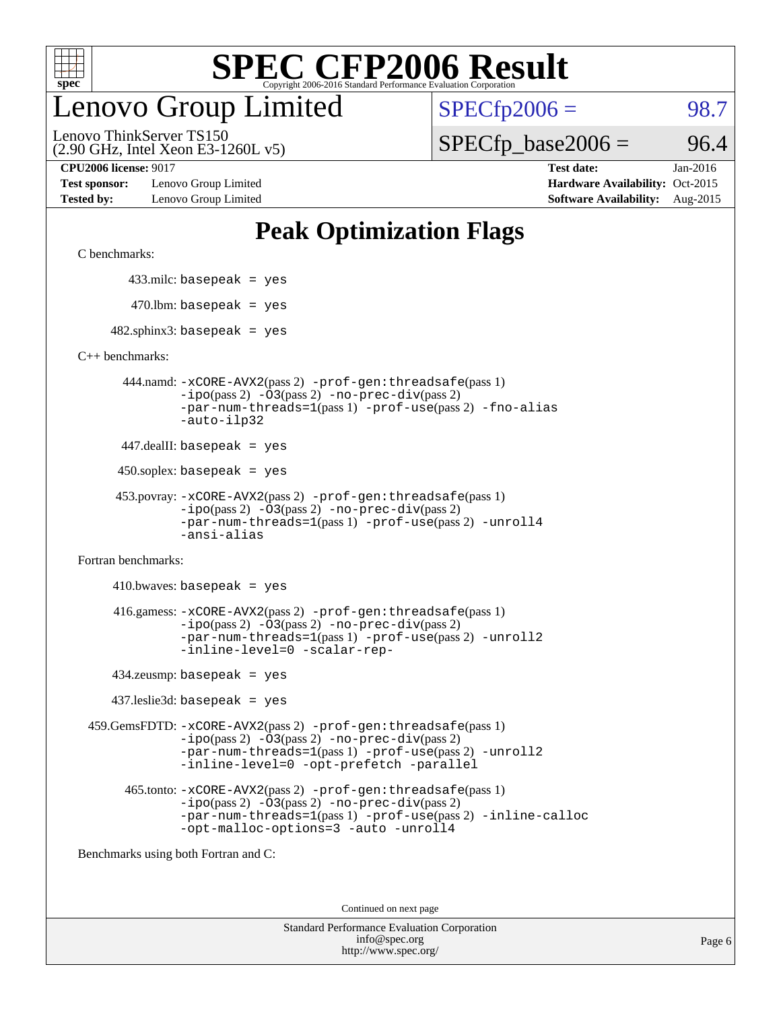

# enovo Group Limited

 $SPECTp2006 = 98.7$ 

(2.90 GHz, Intel Xeon E3-1260L v5) Lenovo ThinkServer TS150

 $SPECTp\_base2006 = 96.4$ 

**[Test sponsor:](http://www.spec.org/auto/cpu2006/Docs/result-fields.html#Testsponsor)** Lenovo Group Limited **[Hardware Availability:](http://www.spec.org/auto/cpu2006/Docs/result-fields.html#HardwareAvailability)** Oct-2015

**[CPU2006 license:](http://www.spec.org/auto/cpu2006/Docs/result-fields.html#CPU2006license)** 9017 **[Test date:](http://www.spec.org/auto/cpu2006/Docs/result-fields.html#Testdate)** Jan-2016 **[Tested by:](http://www.spec.org/auto/cpu2006/Docs/result-fields.html#Testedby)** Lenovo Group Limited **[Software Availability:](http://www.spec.org/auto/cpu2006/Docs/result-fields.html#SoftwareAvailability)** Aug-2015

# **[Peak Optimization Flags](http://www.spec.org/auto/cpu2006/Docs/result-fields.html#PeakOptimizationFlags)**

[C benchmarks](http://www.spec.org/auto/cpu2006/Docs/result-fields.html#Cbenchmarks):

433.milc: basepeak = yes

 $470.$ lbm: basepeak = yes

 $482$ .sphinx3: basepeak = yes

[C++ benchmarks:](http://www.spec.org/auto/cpu2006/Docs/result-fields.html#CXXbenchmarks)

 444.namd: [-xCORE-AVX2](http://www.spec.org/cpu2006/results/res2016q1/cpu2006-20160125-38874.flags.html#user_peakPASS2_CXXFLAGSPASS2_LDFLAGS444_namd_f-xAVX2_5f5fc0cbe2c9f62c816d3e45806c70d7)(pass 2) [-prof-gen:threadsafe](http://www.spec.org/cpu2006/results/res2016q1/cpu2006-20160125-38874.flags.html#user_peakPASS1_CXXFLAGSPASS1_LDFLAGS444_namd_prof_gen_21a26eb79f378b550acd7bec9fe4467a)(pass 1) [-ipo](http://www.spec.org/cpu2006/results/res2016q1/cpu2006-20160125-38874.flags.html#user_peakPASS2_CXXFLAGSPASS2_LDFLAGS444_namd_f-ipo)(pass 2) [-O3](http://www.spec.org/cpu2006/results/res2016q1/cpu2006-20160125-38874.flags.html#user_peakPASS2_CXXFLAGSPASS2_LDFLAGS444_namd_f-O3)(pass 2) [-no-prec-div](http://www.spec.org/cpu2006/results/res2016q1/cpu2006-20160125-38874.flags.html#user_peakPASS2_CXXFLAGSPASS2_LDFLAGS444_namd_f-no-prec-div)(pass 2) [-par-num-threads=1](http://www.spec.org/cpu2006/results/res2016q1/cpu2006-20160125-38874.flags.html#user_peakPASS1_CXXFLAGSPASS1_LDFLAGS444_namd_par_num_threads_786a6ff141b4e9e90432e998842df6c2)(pass 1) [-prof-use](http://www.spec.org/cpu2006/results/res2016q1/cpu2006-20160125-38874.flags.html#user_peakPASS2_CXXFLAGSPASS2_LDFLAGS444_namd_prof_use_bccf7792157ff70d64e32fe3e1250b55)(pass 2) [-fno-alias](http://www.spec.org/cpu2006/results/res2016q1/cpu2006-20160125-38874.flags.html#user_peakCXXOPTIMIZEOPTIMIZE444_namd_f-no-alias_694e77f6c5a51e658e82ccff53a9e63a) [-auto-ilp32](http://www.spec.org/cpu2006/results/res2016q1/cpu2006-20160125-38874.flags.html#user_peakCXXOPTIMIZE444_namd_f-auto-ilp32)

447.dealII: basepeak = yes

 $450$ .soplex: basepeak = yes

```
 453.povray: -xCORE-AVX2(pass 2) -prof-gen:threadsafe(pass 1)
-ipo(pass 2) -O3(pass 2) -no-prec-div(pass 2)
-par-num-threads=1(pass 1) -prof-use(pass 2) -unroll4
-ansi-alias
```
[Fortran benchmarks](http://www.spec.org/auto/cpu2006/Docs/result-fields.html#Fortranbenchmarks):

 $410.bwaves: basepeak = yes$  416.gamess: [-xCORE-AVX2](http://www.spec.org/cpu2006/results/res2016q1/cpu2006-20160125-38874.flags.html#user_peakPASS2_FFLAGSPASS2_LDFLAGS416_gamess_f-xAVX2_5f5fc0cbe2c9f62c816d3e45806c70d7)(pass 2) [-prof-gen:threadsafe](http://www.spec.org/cpu2006/results/res2016q1/cpu2006-20160125-38874.flags.html#user_peakPASS1_FFLAGSPASS1_LDFLAGS416_gamess_prof_gen_21a26eb79f378b550acd7bec9fe4467a)(pass 1)  $-i\text{po}(pass 2) -\text{O3}(pass 2)$  [-no-prec-div](http://www.spec.org/cpu2006/results/res2016q1/cpu2006-20160125-38874.flags.html#user_peakPASS2_FFLAGSPASS2_LDFLAGS416_gamess_f-no-prec-div)(pass 2) [-par-num-threads=1](http://www.spec.org/cpu2006/results/res2016q1/cpu2006-20160125-38874.flags.html#user_peakPASS1_FFLAGSPASS1_LDFLAGS416_gamess_par_num_threads_786a6ff141b4e9e90432e998842df6c2)(pass 1) [-prof-use](http://www.spec.org/cpu2006/results/res2016q1/cpu2006-20160125-38874.flags.html#user_peakPASS2_FFLAGSPASS2_LDFLAGS416_gamess_prof_use_bccf7792157ff70d64e32fe3e1250b55)(pass 2) [-unroll2](http://www.spec.org/cpu2006/results/res2016q1/cpu2006-20160125-38874.flags.html#user_peakOPTIMIZE416_gamess_f-unroll_784dae83bebfb236979b41d2422d7ec2) [-inline-level=0](http://www.spec.org/cpu2006/results/res2016q1/cpu2006-20160125-38874.flags.html#user_peakOPTIMIZE416_gamess_f-inline-level_318d07a09274ad25e8d15dbfaa68ba50) [-scalar-rep-](http://www.spec.org/cpu2006/results/res2016q1/cpu2006-20160125-38874.flags.html#user_peakOPTIMIZE416_gamess_f-disablescalarrep_abbcad04450fb118e4809c81d83c8a1d)

434.zeusmp: basepeak = yes

437.leslie3d: basepeak = yes

 459.GemsFDTD: [-xCORE-AVX2](http://www.spec.org/cpu2006/results/res2016q1/cpu2006-20160125-38874.flags.html#user_peakPASS2_FFLAGSPASS2_LDFLAGS459_GemsFDTD_f-xAVX2_5f5fc0cbe2c9f62c816d3e45806c70d7)(pass 2) [-prof-gen:threadsafe](http://www.spec.org/cpu2006/results/res2016q1/cpu2006-20160125-38874.flags.html#user_peakPASS1_FFLAGSPASS1_LDFLAGS459_GemsFDTD_prof_gen_21a26eb79f378b550acd7bec9fe4467a)(pass 1)  $-i\text{po}(pass 2) -03(pass 2) -no-prec-div(pass 2)$  $-i\text{po}(pass 2) -03(pass 2) -no-prec-div(pass 2)$  $-i\text{po}(pass 2) -03(pass 2) -no-prec-div(pass 2)$ [-par-num-threads=1](http://www.spec.org/cpu2006/results/res2016q1/cpu2006-20160125-38874.flags.html#user_peakPASS1_FFLAGSPASS1_LDFLAGS459_GemsFDTD_par_num_threads_786a6ff141b4e9e90432e998842df6c2)(pass 1) [-prof-use](http://www.spec.org/cpu2006/results/res2016q1/cpu2006-20160125-38874.flags.html#user_peakPASS2_FFLAGSPASS2_LDFLAGS459_GemsFDTD_prof_use_bccf7792157ff70d64e32fe3e1250b55)(pass 2) [-unroll2](http://www.spec.org/cpu2006/results/res2016q1/cpu2006-20160125-38874.flags.html#user_peakOPTIMIZE459_GemsFDTD_f-unroll_784dae83bebfb236979b41d2422d7ec2) [-inline-level=0](http://www.spec.org/cpu2006/results/res2016q1/cpu2006-20160125-38874.flags.html#user_peakOPTIMIZE459_GemsFDTD_f-inline-level_318d07a09274ad25e8d15dbfaa68ba50) [-opt-prefetch](http://www.spec.org/cpu2006/results/res2016q1/cpu2006-20160125-38874.flags.html#user_peakOPTIMIZE459_GemsFDTD_f-opt-prefetch) [-parallel](http://www.spec.org/cpu2006/results/res2016q1/cpu2006-20160125-38874.flags.html#user_peakOPTIMIZE459_GemsFDTD_f-parallel)

 465.tonto: [-xCORE-AVX2](http://www.spec.org/cpu2006/results/res2016q1/cpu2006-20160125-38874.flags.html#user_peakPASS2_FFLAGSPASS2_LDFLAGS465_tonto_f-xAVX2_5f5fc0cbe2c9f62c816d3e45806c70d7)(pass 2) [-prof-gen:threadsafe](http://www.spec.org/cpu2006/results/res2016q1/cpu2006-20160125-38874.flags.html#user_peakPASS1_FFLAGSPASS1_LDFLAGS465_tonto_prof_gen_21a26eb79f378b550acd7bec9fe4467a)(pass 1)  $-i\text{po}(pass 2)$   $-03(pass 2)$   $-no-prec-div(pass 2)$  $-no-prec-div(pass 2)$ [-par-num-threads=1](http://www.spec.org/cpu2006/results/res2016q1/cpu2006-20160125-38874.flags.html#user_peakPASS1_FFLAGSPASS1_LDFLAGS465_tonto_par_num_threads_786a6ff141b4e9e90432e998842df6c2)(pass 1) [-prof-use](http://www.spec.org/cpu2006/results/res2016q1/cpu2006-20160125-38874.flags.html#user_peakPASS2_FFLAGSPASS2_LDFLAGS465_tonto_prof_use_bccf7792157ff70d64e32fe3e1250b55)(pass 2) [-inline-calloc](http://www.spec.org/cpu2006/results/res2016q1/cpu2006-20160125-38874.flags.html#user_peakOPTIMIZE465_tonto_f-inline-calloc) [-opt-malloc-options=3](http://www.spec.org/cpu2006/results/res2016q1/cpu2006-20160125-38874.flags.html#user_peakOPTIMIZE465_tonto_f-opt-malloc-options_13ab9b803cf986b4ee62f0a5998c2238) [-auto](http://www.spec.org/cpu2006/results/res2016q1/cpu2006-20160125-38874.flags.html#user_peakOPTIMIZE465_tonto_f-auto) [-unroll4](http://www.spec.org/cpu2006/results/res2016q1/cpu2006-20160125-38874.flags.html#user_peakOPTIMIZE465_tonto_f-unroll_4e5e4ed65b7fd20bdcd365bec371b81f)

[Benchmarks using both Fortran and C](http://www.spec.org/auto/cpu2006/Docs/result-fields.html#BenchmarksusingbothFortranandC):

Continued on next page